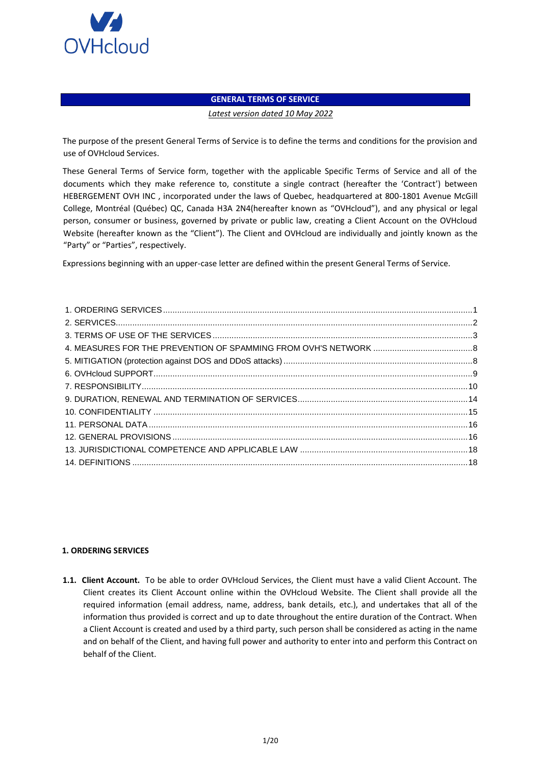

# **GENERAL TERMS OF SERVICE**

*Latest version dated 10 May 2022* 

The purpose of the present General Terms of Service is to define the terms and conditions for the provision and use of OVHcloud Services.

These General Terms of Service form, together with the applicable Specific Terms of Service and all of the documents which they make reference to, constitute a single contract (hereafter the 'Contract') between HEBERGEMENT OVH INC , incorporated under the laws of Quebec, headquartered at 800-1801 Avenue McGill College, Montréal (Québec) QC, Canada H3A 2N4(hereafter known as "OVHcloud"), and any physical or legal person, consumer or business, governed by private or public law, creating a Client Account on the OVHcloud Website (hereafter known as the "Client"). The Client and OVHcloud are individually and jointly known as the "Party" or "Parties", respectively.

Expressions beginning with an upper-case letter are defined within the present General Terms of Service.

# <span id="page-0-0"></span>**1. ORDERING SERVICES**

**1.1. Client Account.** To be able to order OVHcloud Services, the Client must have a valid Client Account. The Client creates its Client Account online within the OVHcloud Website. The Client shall provide all the required information (email address, name, address, bank details, etc.), and undertakes that all of the information thus provided is correct and up to date throughout the entire duration of the Contract. When a Client Account is created and used by a third party, such person shall be considered as acting in the name and on behalf of the Client, and having full power and authority to enter into and perform this Contract on behalf of the Client.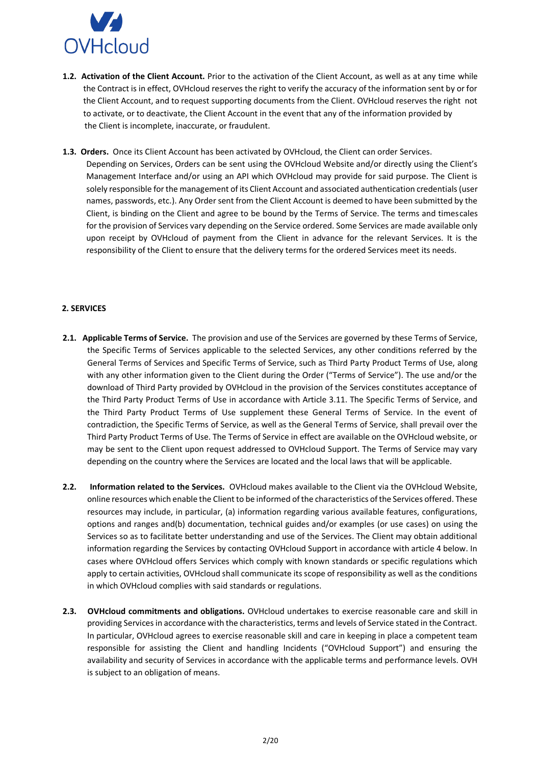

- **1.2. Activation of the Client Account.** Prior to the activation of the Client Account, as well as at any time while the Contract is in effect, OVHcloud reserves the right to verify the accuracy of the information sent by or for the Client Account, and to request supporting documents from the Client. OVHcloud reserves the right not to activate, or to deactivate, the Client Account in the event that any of the information provided by the Client is incomplete, inaccurate, or fraudulent.
- **1.3. Orders.** Once its Client Account has been activated by OVHcloud, the Client can order Services. Depending on Services, Orders can be sent using the OVHcloud Website and/or directly using the Client's Management Interface and/or using an API which OVHcloud may provide for said purpose. The Client is solely responsible for the management of its Client Account and associated authentication credentials (user names, passwords, etc.). Any Order sent from the Client Account is deemed to have been submitted by the Client, is binding on the Client and agree to be bound by the Terms of Service. The terms and timescales for the provision of Services vary depending on the Service ordered. Some Services are made available only upon receipt by OVHcloud of payment from the Client in advance for the relevant Services. It is the responsibility of the Client to ensure that the delivery terms for the ordered Services meet its needs.

# <span id="page-1-0"></span>**2. SERVICES**

- **2.1. Applicable Terms of Service.** The provision and use of the Services are governed by these Terms of Service, the Specific Terms of Services applicable to the selected Services, any other conditions referred by the General Terms of Services and Specific Terms of Service, such as Third Party Product Terms of Use, along with any other information given to the Client during the Order ("Terms of Service"). The use and/or the download of Third Party provided by OVHcloud in the provision of the Services constitutes acceptance of the Third Party Product Terms of Use in accordance with Article 3.11. The Specific Terms of Service, and the Third Party Product Terms of Use supplement these General Terms of Service. In the event of contradiction, the Specific Terms of Service, as well as the General Terms of Service, shall prevail over the Third Party Product Terms of Use. The Terms of Service in effect are available on the OVHcloud website, or may be sent to the Client upon request addressed to OVHcloud Support. The Terms of Service may vary depending on the country where the Services are located and the local laws that will be applicable.
- **2.2. Information related to the Services.** OVHcloud makes available to the Client via the OVHcloud Website, online resources which enable the Client to be informed of the characteristics of the Services offered. These resources may include, in particular, (a) information regarding various available features, configurations, options and ranges and(b) documentation, technical guides and/or examples (or use cases) on using the Services so as to facilitate better understanding and use of the Services. The Client may obtain additional information regarding the Services by contacting OVHcloud Support in accordance with article 4 below. In cases where OVHcloud offers Services which comply with known standards or specific regulations which apply to certain activities, OVHcloud shall communicate its scope of responsibility as well as the conditions in which OVHcloud complies with said standards or regulations.
- **2.3. OVHcloud commitments and obligations.** OVHcloud undertakes to exercise reasonable care and skill in providing Services in accordance with the characteristics, terms and levels of Service stated in the Contract. In particular, OVHcloud agrees to exercise reasonable skill and care in keeping in place a competent team responsible for assisting the Client and handling Incidents ("OVHcloud Support") and ensuring the availability and security of Services in accordance with the applicable terms and performance levels. OVH is subject to an obligation of means.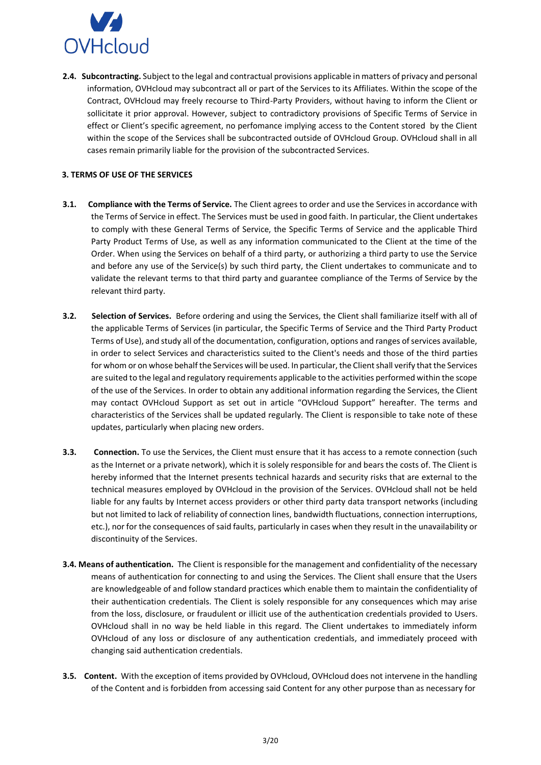

**2.4. Subcontracting.** Subject to the legal and contractual provisions applicable in matters of privacy and personal information, OVHcloud may subcontract all or part of the Services to its Affiliates. Within the scope of the Contract, OVHcloud may freely recourse to Third-Party Providers, without having to inform the Client or sollicitate it prior approval. However, subject to contradictory provisions of Specific Terms of Service in effect or Client's specific agreement, no perfomance implying access to the Content stored by the Client within the scope of the Services shall be subcontracted outside of OVHcloud Group. OVHcloud shall in all cases remain primarily liable for the provision of the subcontracted Services.

# <span id="page-2-0"></span>**3. TERMS OF USE OF THE SERVICES**

- **3.1. Compliance with the Terms of Service.** The Client agrees to order and use the Services in accordance with the Terms of Service in effect. The Services must be used in good faith. In particular, the Client undertakes to comply with these General Terms of Service, the Specific Terms of Service and the applicable Third Party Product Terms of Use, as well as any information communicated to the Client at the time of the Order. When using the Services on behalf of a third party, or authorizing a third party to use the Service and before any use of the Service(s) by such third party, the Client undertakes to communicate and to validate the relevant terms to that third party and guarantee compliance of the Terms of Service by the relevant third party.
- **3.2. Selection of Services.** Before ordering and using the Services, the Client shall familiarize itself with all of the applicable Terms of Services (in particular, the Specific Terms of Service and the Third Party Product Terms of Use), and study all of the documentation, configuration, options and ranges of services available, in order to select Services and characteristics suited to the Client's needs and those of the third parties for whom or on whose behalf the Services will be used. In particular, the Client shall verify that the Services are suited to the legal and regulatory requirements applicable to the activities performed within the scope of the use of the Services. In order to obtain any additional information regarding the Services, the Client may contact OVHcloud Support as set out in article "OVHcloud Support" hereafter. The terms and characteristics of the Services shall be updated regularly. The Client is responsible to take note of these updates, particularly when placing new orders.
- **3.3. Connection.** To use the Services, the Client must ensure that it has access to a remote connection (such as the Internet or a private network), which it is solely responsible for and bears the costs of. The Client is hereby informed that the Internet presents technical hazards and security risks that are external to the technical measures employed by OVHcloud in the provision of the Services. OVHcloud shall not be held liable for any faults by Internet access providers or other third party data transport networks (including but not limited to lack of reliability of connection lines, bandwidth fluctuations, connection interruptions, etc.), nor for the consequences of said faults, particularly in cases when they result in the unavailability or discontinuity of the Services.
- **3.4. Means of authentication.** The Client is responsible for the management and confidentiality of the necessary means of authentication for connecting to and using the Services. The Client shall ensure that the Users are knowledgeable of and follow standard practices which enable them to maintain the confidentiality of their authentication credentials. The Client is solely responsible for any consequences which may arise from the loss, disclosure, or fraudulent or illicit use of the authentication credentials provided to Users. OVHcloud shall in no way be held liable in this regard. The Client undertakes to immediately inform OVHcloud of any loss or disclosure of any authentication credentials, and immediately proceed with changing said authentication credentials.
- **3.5. Content.** With the exception of items provided by OVHcloud, OVHcloud does not intervene in the handling of the Content and is forbidden from accessing said Content for any other purpose than as necessary for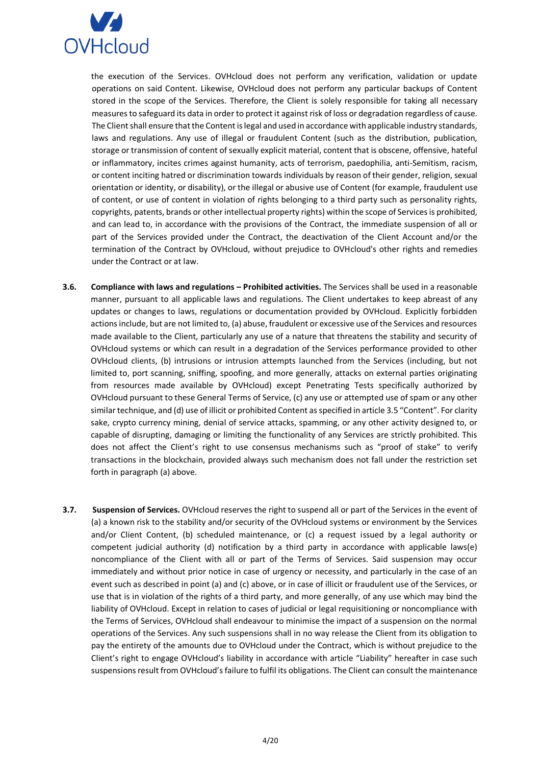

the execution of the Services. OVHcloud does not perform any verification, validation or update operations on said Content. Likewise, OVHcloud does not perform any particular backups of Content stored in the scope of the Services. Therefore, the Client is solely responsible for taking all necessary measures to safeguard its data in order to protect it against risk of loss or degradation regardless of cause. The Client shall ensure that the Content is legal and used in accordance with applicable industry standards, laws and regulations. Any use of illegal or fraudulent Content (such as the distribution, publication, storage or transmission of content of sexually explicit material, content that is obscene, offensive, hateful or inflammatory, incites crimes against humanity, acts of terrorism, paedophilia, anti-Semitism, racism, or content inciting hatred or discrimination towards individuals by reason of their gender, religion, sexual orientation or identity, or disability), or the illegal or abusive use of Content (for example, fraudulent use of content, or use of content in violation of rights belonging to a third party such as personality rights, copyrights, patents, brands or other intellectual property rights) within the scope of Services is prohibited, and can lead to, in accordance with the provisions of the Contract, the immediate suspension of all or part of the Services provided under the Contract, the deactivation of the Client Account and/or the termination of the Contract by OVHcloud, without prejudice to OVHcloud's other rights and remedies under the Contract or at law.

- **3.6. Compliance with laws and regulations – Prohibited activities.** The Services shall be used in a reasonable manner, pursuant to all applicable laws and regulations. The Client undertakes to keep abreast of any updates or changes to laws, regulations or documentation provided by OVHcloud. Explicitly forbidden actions include, but are not limited to, (a) abuse, fraudulent or excessive use of the Services and resources made available to the Client, particularly any use of a nature that threatens the stability and security of OVHcloud systems or which can result in a degradation of the Services performance provided to other OVHcloud clients, (b) intrusions or intrusion attempts launched from the Services (including, but not limited to, port scanning, sniffing, spoofing, and more generally, attacks on external parties originating from resources made available by OVHcloud) except Penetrating Tests specifically authorized by OVHcloud pursuant to these General Terms of Service, (c) any use or attempted use of spam or any other similar technique, and (d) use of illicit or prohibited Content as specified in article 3.5 "Content". For clarity sake, crypto currency mining, denial of service attacks, spamming, or any other activity designed to, or capable of disrupting, damaging or limiting the functionality of any Services are strictly prohibited. This does not affect the Client's right to use consensus mechanisms such as "proof of stake" to verify transactions in the blockchain, provided always such mechanism does not fall under the restriction set forth in paragraph (a) above.
- **3.7. Suspension of Services.** OVHcloud reserves the right to suspend all or part of the Services in the event of (a) a known risk to the stability and/or security of the OVHcloud systems or environment by the Services and/or Client Content, (b) scheduled maintenance, or (c) a request issued by a legal authority or competent judicial authority (d) notification by a third party in accordance with applicable laws(e) noncompliance of the Client with all or part of the Terms of Services. Said suspension may occur immediately and without prior notice in case of urgency or necessity, and particularly in the case of an event such as described in point (a) and (c) above, or in case of illicit or fraudulent use of the Services, or use that is in violation of the rights of a third party, and more generally, of any use which may bind the liability of OVHcloud. Except in relation to cases of judicial or legal requisitioning or noncompliance with the Terms of Services, OVHcloud shall endeavour to minimise the impact of a suspension on the normal operations of the Services. Any such suspensions shall in no way release the Client from its obligation to pay the entirety of the amounts due to OVHcloud under the Contract, which is without prejudice to the Client's right to engage OVHcloud's liability in accordance with article "Liability" hereafter in case such suspensions result from OVHcloud's failure to fulfil its obligations. The Client can consult the maintenance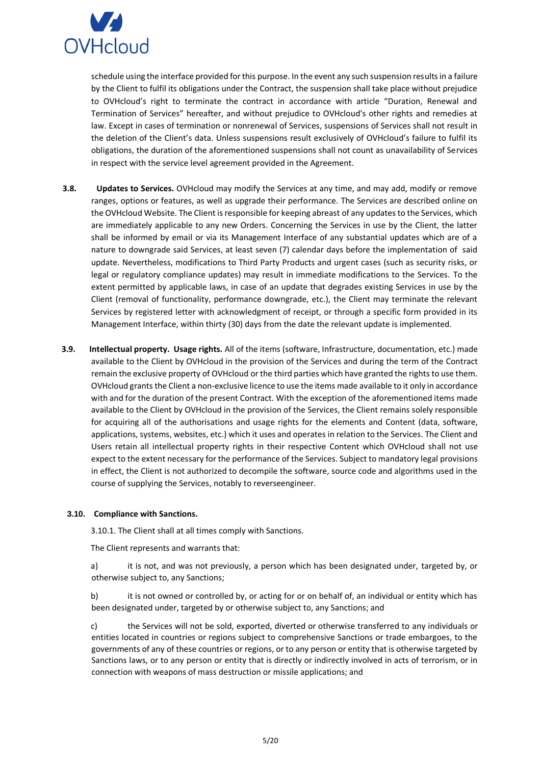

schedule using the interface provided for this purpose. In the event any such suspension results in a failure by the Client to fulfil its obligations under the Contract, the suspension shall take place without prejudice to OVHcloud's right to terminate the contract in accordance with article "Duration, Renewal and Termination of Services" hereafter, and without prejudice to OVHcloud's other rights and remedies at law. Except in cases of termination or nonrenewal of Services, suspensions of Services shall not result in the deletion of the Client's data. Unless suspensions result exclusively of OVHcloud's failure to fulfil its obligations, the duration of the aforementioned suspensions shall not count as unavailability of Services in respect with the service level agreement provided in the Agreement.

- **3.8. Updates to Services.** OVHcloud may modify the Services at any time, and may add, modify or remove ranges, options or features, as well as upgrade their performance. The Services are described online on the OVHcloud Website. The Client is responsible for keeping abreast of any updates to the Services, which are immediately applicable to any new Orders. Concerning the Services in use by the Client, the latter shall be informed by email or via its Management Interface of any substantial updates which are of a nature to downgrade said Services, at least seven (7) calendar days before the implementation of said update. Nevertheless, modifications to Third Party Products and urgent cases (such as security risks, or legal or regulatory compliance updates) may result in immediate modifications to the Services. To the extent permitted by applicable laws, in case of an update that degrades existing Services in use by the Client (removal of functionality, performance downgrade, etc.), the Client may terminate the relevant Services by registered letter with acknowledgment of receipt, or through a specific form provided in its Management Interface, within thirty (30) days from the date the relevant update is implemented.
- **3.9. Intellectual property. Usage rights.** All of the items (software, Infrastructure, documentation, etc.) made available to the Client by OVHcloud in the provision of the Services and during the term of the Contract remain the exclusive property of OVHcloud or the third parties which have granted the rights to use them. OVHcloud grants the Client a non-exclusive licence to use the items made available to it only in accordance with and for the duration of the present Contract. With the exception of the aforementioned items made available to the Client by OVHcloud in the provision of the Services, the Client remains solely responsible for acquiring all of the authorisations and usage rights for the elements and Content (data, software, applications, systems, websites, etc.) which it uses and operates in relation to the Services. The Client and Users retain all intellectual property rights in their respective Content which OVHcloud shall not use expect to the extent necessary for the performance of the Services. Subject to mandatory legal provisions in effect, the Client is not authorized to decompile the software, source code and algorithms used in the course of supplying the Services, notably to reverseengineer.

#### **3.10. Compliance with Sanctions.**

3.10.1. The Client shall at all times comply with Sanctions.

The Client represents and warrants that:

a) it is not, and was not previously, a person which has been designated under, targeted by, or otherwise subject to, any Sanctions;

b) it is not owned or controlled by, or acting for or on behalf of, an individual or entity which has been designated under, targeted by or otherwise subject to, any Sanctions; and

c) the Services will not be sold, exported, diverted or otherwise transferred to any individuals or entities located in countries or regions subject to comprehensive Sanctions or trade embargoes, to the governments of any of these countries or regions, or to any person or entity that is otherwise targeted by Sanctions laws, or to any person or entity that is directly or indirectly involved in acts of terrorism, or in connection with weapons of mass destruction or missile applications; and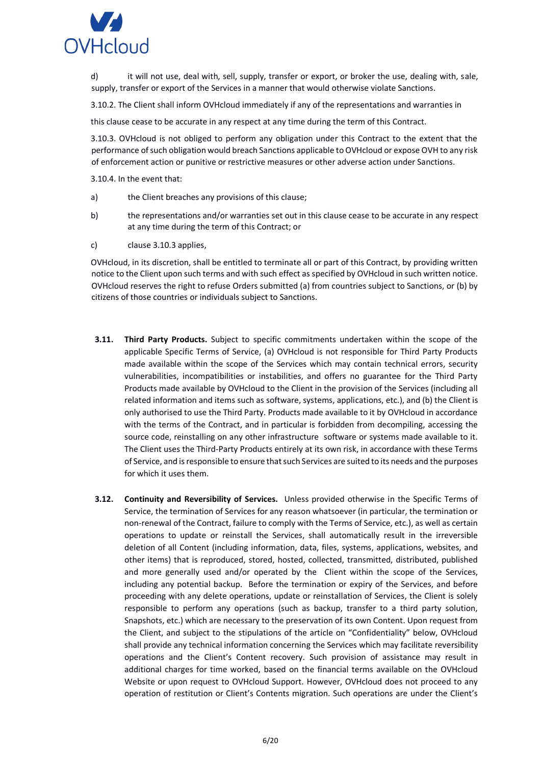

d) it will not use, deal with, sell, supply, transfer or export, or broker the use, dealing with, sale, supply, transfer or export of the Services in a manner that would otherwise violate Sanctions.

3.10.2. The Client shall inform OVHcloud immediately if any of the representations and warranties in

this clause cease to be accurate in any respect at any time during the term of this Contract.

3.10.3. OVHcloud is not obliged to perform any obligation under this Contract to the extent that the performance of such obligation would breach Sanctions applicable to OVHcloud or expose OVH to any risk of enforcement action or punitive or restrictive measures or other adverse action under Sanctions.

3.10.4. In the event that:

- a) the Client breaches any provisions of this clause;
- b) the representations and/or warranties set out in this clause cease to be accurate in any respect at any time during the term of this Contract; or
- c) clause 3.10.3 applies,

OVHcloud, in its discretion, shall be entitled to terminate all or part of this Contract, by providing written notice to the Client upon such terms and with such effect as specified by OVHcloud in such written notice. OVHcloud reserves the right to refuse Orders submitted (a) from countries subject to Sanctions, or (b) by citizens of those countries or individuals subject to Sanctions.

- **3.11. Third Party Products.** Subject to specific commitments undertaken within the scope of the applicable Specific Terms of Service, (a) OVHcloud is not responsible for Third Party Products made available within the scope of the Services which may contain technical errors, security vulnerabilities, incompatibilities or instabilities, and offers no guarantee for the Third Party Products made available by OVHcloud to the Client in the provision of the Services (including all related information and items such as software, systems, applications, etc.), and (b) the Client is only authorised to use the Third Party. Products made available to it by OVHcloud in accordance with the terms of the Contract, and in particular is forbidden from decompiling, accessing the source code, reinstalling on any other infrastructure software or systems made available to it. The Client uses the Third-Party Products entirely at its own risk, in accordance with these Terms of Service, and is responsible to ensure that such Services are suited to its needs and the purposes for which it uses them.
- **3.12. Continuity and Reversibility of Services.** Unless provided otherwise in the Specific Terms of Service, the termination of Services for any reason whatsoever (in particular, the termination or non-renewal of the Contract, failure to comply with the Terms of Service, etc.), as well as certain operations to update or reinstall the Services, shall automatically result in the irreversible deletion of all Content (including information, data, files, systems, applications, websites, and other items) that is reproduced, stored, hosted, collected, transmitted, distributed, published and more generally used and/or operated by the Client within the scope of the Services, including any potential backup. Before the termination or expiry of the Services, and before proceeding with any delete operations, update or reinstallation of Services, the Client is solely responsible to perform any operations (such as backup, transfer to a third party solution, Snapshots, etc.) which are necessary to the preservation of its own Content. Upon request from the Client, and subject to the stipulations of the article on "Confidentiality" below, OVHcloud shall provide any technical information concerning the Services which may facilitate reversibility operations and the Client's Content recovery. Such provision of assistance may result in additional charges for time worked, based on the financial terms available on the OVHcloud Website or upon request to OVHcloud Support. However, OVHcloud does not proceed to any operation of restitution or Client's Contents migration. Such operations are under the Client's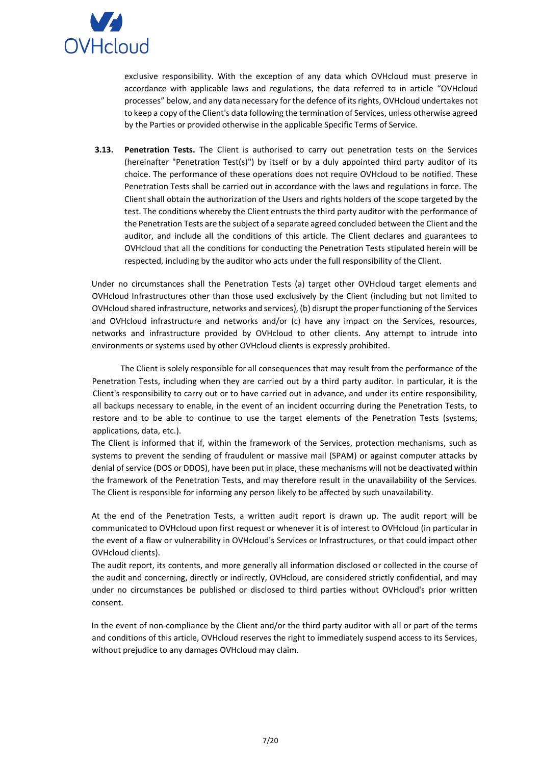

exclusive responsibility. With the exception of any data which OVHcloud must preserve in accordance with applicable laws and regulations, the data referred to in article "OVHcloud processes" below, and any data necessary for the defence of its rights, OVHcloud undertakes not to keep a copy of the Client's data following the termination of Services, unless otherwise agreed by the Parties or provided otherwise in the applicable Specific Terms of Service.

**3.13. Penetration Tests.** The Client is authorised to carry out penetration tests on the Services (hereinafter "Penetration Test(s)") by itself or by a duly appointed third party auditor of its choice. The performance of these operations does not require OVHcloud to be notified. These Penetration Tests shall be carried out in accordance with the laws and regulations in force. The Client shall obtain the authorization of the Users and rights holders of the scope targeted by the test. The conditions whereby the Client entrusts the third party auditor with the performance of the Penetration Tests are the subject of a separate agreed concluded between the Client and the auditor, and include all the conditions of this article. The Client declares and guarantees to OVHcloud that all the conditions for conducting the Penetration Tests stipulated herein will be respected, including by the auditor who acts under the full responsibility of the Client.

Under no circumstances shall the Penetration Tests (a) target other OVHcloud target elements and OVHcloud Infrastructures other than those used exclusively by the Client (including but not limited to OVHcloud shared infrastructure, networks and services), (b) disrupt the proper functioning of the Services and OVHcloud infrastructure and networks and/or (c) have any impact on the Services, resources, networks and infrastructure provided by OVHcloud to other clients. Any attempt to intrude into environments or systems used by other OVHcloud clients is expressly prohibited.

The Client is solely responsible for all consequences that may result from the performance of the Penetration Tests, including when they are carried out by a third party auditor. In particular, it is the Client's responsibility to carry out or to have carried out in advance, and under its entire responsibility, all backups necessary to enable, in the event of an incident occurring during the Penetration Tests, to restore and to be able to continue to use the target elements of the Penetration Tests (systems, applications, data, etc.).

The Client is informed that if, within the framework of the Services, protection mechanisms, such as systems to prevent the sending of fraudulent or massive mail (SPAM) or against computer attacks by denial of service (DOS or DDOS), have been put in place, these mechanisms will not be deactivated within the framework of the Penetration Tests, and may therefore result in the unavailability of the Services. The Client is responsible for informing any person likely to be affected by such unavailability.

At the end of the Penetration Tests, a written audit report is drawn up. The audit report will be communicated to OVHcloud upon first request or whenever it is of interest to OVHcloud (in particular in the event of a flaw or vulnerability in OVHcloud's Services or Infrastructures, or that could impact other OVHcloud clients).

The audit report, its contents, and more generally all information disclosed or collected in the course of the audit and concerning, directly or indirectly, OVHcloud, are considered strictly confidential, and may under no circumstances be published or disclosed to third parties without OVHcloud's prior written consent.

In the event of non-compliance by the Client and/or the third party auditor with all or part of the terms and conditions of this article, OVHcloud reserves the right to immediately suspend access to its Services, without prejudice to any damages OVHcloud may claim.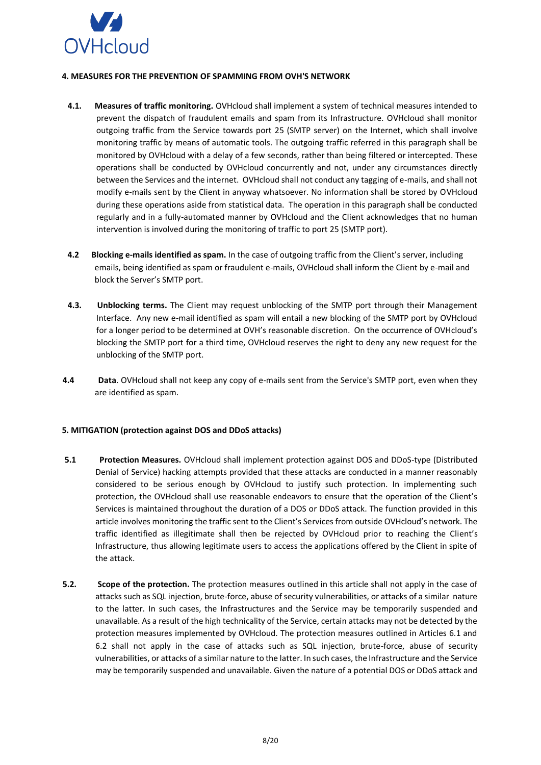

### <span id="page-7-0"></span>**4. MEASURES FOR THE PREVENTION OF SPAMMING FROM OVH'S NETWORK**

- **4.1. Measures of traffic monitoring.** OVHcloud shall implement a system of technical measures intended to prevent the dispatch of fraudulent emails and spam from its Infrastructure. OVHcloud shall monitor outgoing traffic from the Service towards port 25 (SMTP server) on the Internet, which shall involve monitoring traffic by means of automatic tools. The outgoing traffic referred in this paragraph shall be monitored by OVHcloud with a delay of a few seconds, rather than being filtered or intercepted. These operations shall be conducted by OVHcloud concurrently and not, under any circumstances directly between the Services and the internet. OVHcloud shall not conduct any tagging of e-mails, and shall not modify e-mails sent by the Client in anyway whatsoever. No information shall be stored by OVHcloud during these operations aside from statistical data. The operation in this paragraph shall be conducted regularly and in a fully-automated manner by OVHcloud and the Client acknowledges that no human intervention is involved during the monitoring of traffic to port 25 (SMTP port).
- **4.2 Blocking e-mails identified as spam.** In the case of outgoing traffic from the Client's server, including emails, being identified as spam or fraudulent e-mails, OVHcloud shall inform the Client by e-mail and block the Server's SMTP port.
- **4.3. Unblocking terms.** The Client may request unblocking of the SMTP port through their Management Interface. Any new e-mail identified as spam will entail a new blocking of the SMTP port by OVHcloud for a longer period to be determined at OVH's reasonable discretion. On the occurrence of OVHcloud's blocking the SMTP port for a third time, OVHcloud reserves the right to deny any new request for the unblocking of the SMTP port.
- **4.4 Data**. OVHcloud shall not keep any copy of e-mails sent from the Service's SMTP port, even when they are identified as spam.

# <span id="page-7-1"></span>**5. MITIGATION (protection against DOS and DDoS attacks)**

- **5.1 Protection Measures.** OVHcloud shall implement protection against DOS and DDoS-type (Distributed Denial of Service) hacking attempts provided that these attacks are conducted in a manner reasonably considered to be serious enough by OVHcloud to justify such protection. In implementing such protection, the OVHcloud shall use reasonable endeavors to ensure that the operation of the Client's Services is maintained throughout the duration of a DOS or DDoS attack. The function provided in this article involves monitoring the traffic sent to the Client's Services from outside OVHcloud's network. The traffic identified as illegitimate shall then be rejected by OVHcloud prior to reaching the Client's Infrastructure, thus allowing legitimate users to access the applications offered by the Client in spite of the attack.
- **5.2. Scope of the protection.** The protection measures outlined in this article shall not apply in the case of attacks such as SQL injection, brute-force, abuse of security vulnerabilities, or attacks of a similar nature to the latter. In such cases, the Infrastructures and the Service may be temporarily suspended and unavailable. As a result of the high technicality of the Service, certain attacks may not be detected by the protection measures implemented by OVHcloud. The protection measures outlined in Articles 6.1 and 6.2 shall not apply in the case of attacks such as SQL injection, brute-force, abuse of security vulnerabilities, or attacks of a similar nature to the latter. In such cases, the Infrastructure and the Service may be temporarily suspended and unavailable. Given the nature of a potential DOS or DDoS attack and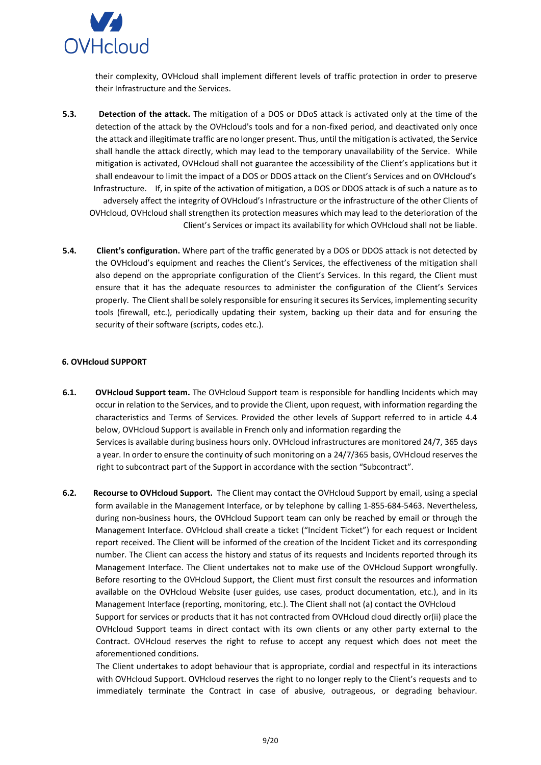

their complexity, OVHcloud shall implement different levels of traffic protection in order to preserve their Infrastructure and the Services.

- **5.3. Detection of the attack.** The mitigation of a DOS or DDoS attack is activated only at the time of the detection of the attack by the OVHcloud's tools and for a non-fixed period, and deactivated only once the attack and illegitimate traffic are no longer present. Thus, until the mitigation is activated, the Service shall handle the attack directly, which may lead to the temporary unavailability of the Service. While mitigation is activated, OVHcloud shall not guarantee the accessibility of the Client's applications but it shall endeavour to limit the impact of a DOS or DDOS attack on the Client's Services and on OVHcloud's Infrastructure. If, in spite of the activation of mitigation, a DOS or DDOS attack is of such a nature as to adversely affect the integrity of OVHcloud's Infrastructure or the infrastructure of the other Clients of OVHcloud, OVHcloud shall strengthen its protection measures which may lead to the deterioration of the Client's Services or impact its availability for which OVHcloud shall not be liable.
- **5.4. Client's configuration.** Where part of the traffic generated by a DOS or DDOS attack is not detected by the OVHcloud's equipment and reaches the Client's Services, the effectiveness of the mitigation shall also depend on the appropriate configuration of the Client's Services. In this regard, the Client must ensure that it has the adequate resources to administer the configuration of the Client's Services properly. The Client shall be solely responsible for ensuring it secures its Services, implementing security tools (firewall, etc.), periodically updating their system, backing up their data and for ensuring the security of their software (scripts, codes etc.).

### <span id="page-8-0"></span>**6. OVHcloud SUPPORT**

**6.1. OVHcloud Support team.** The OVHcloud Support team is responsible for handling Incidents which may occur in relation to the Services, and to provide the Client, upon request, with information regarding the characteristics and Terms of Services. Provided the other levels of Support referred to in article 4.4 below, OVHcloud Support is available in French only and information regarding the Services is available during business hours only. OVHcloud infrastructures are monitored 24/7, 365 days a year. In order to ensure the continuity of such monitoring on a 24/7/365 basis, OVHcloud reserves the right to subcontract part of the Support in accordance with the section "Subcontract".

**6.2. Recourse to OVHcloud Support.** The Client may contact the OVHcloud Support by email, using a special form available in the Management Interface, or by telephone by calling 1-855-684-5463. Nevertheless, during non-business hours, the OVHcloud Support team can only be reached by email or through the Management Interface. OVHcloud shall create a ticket ("Incident Ticket") for each request or Incident report received. The Client will be informed of the creation of the Incident Ticket and its corresponding number. The Client can access the history and status of its requests and Incidents reported through its Management Interface. The Client undertakes not to make use of the OVHcloud Support wrongfully. Before resorting to the OVHcloud Support, the Client must first consult the resources and information available on the OVHcloud Website (user guides, use cases, product documentation, etc.), and in its Management Interface (reporting, monitoring, etc.). The Client shall not (a) contact the OVHcloud Support for services or products that it has not contracted from OVHcloud cloud directly or(ii) place the OVHcloud Support teams in direct contact with its own clients or any other party external to the Contract. OVHcloud reserves the right to refuse to accept any request which does not meet the aforementioned conditions.

The Client undertakes to adopt behaviour that is appropriate, cordial and respectful in its interactions with OVHcloud Support. OVHcloud reserves the right to no longer reply to the Client's requests and to immediately terminate the Contract in case of abusive, outrageous, or degrading behaviour.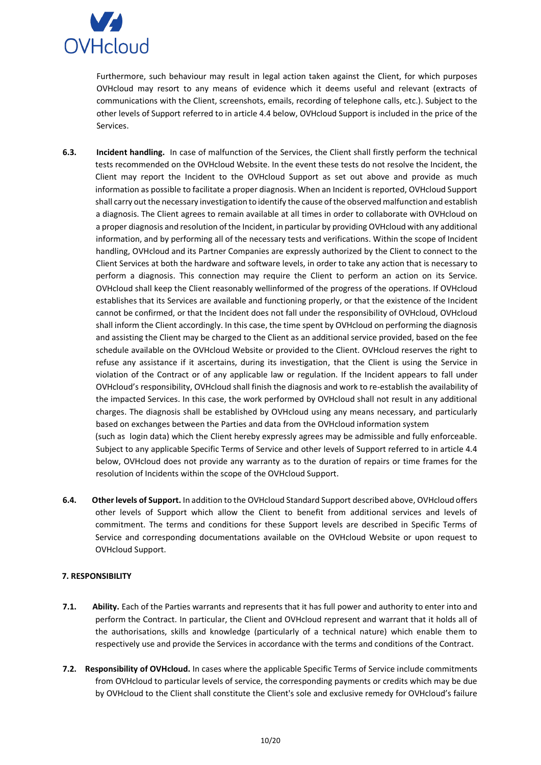

Furthermore, such behaviour may result in legal action taken against the Client, for which purposes OVHcloud may resort to any means of evidence which it deems useful and relevant (extracts of communications with the Client, screenshots, emails, recording of telephone calls, etc.). Subject to the other levels of Support referred to in article 4.4 below, OVHcloud Support is included in the price of the Services.

- **6.3. Incident handling.** In case of malfunction of the Services, the Client shall firstly perform the technical tests recommended on the OVHcloud Website. In the event these tests do not resolve the Incident, the Client may report the Incident to the OVHcloud Support as set out above and provide as much information as possible to facilitate a proper diagnosis. When an Incident is reported, OVHcloud Support shall carry out the necessary investigation to identify the cause of the observed malfunction and establish a diagnosis. The Client agrees to remain available at all times in order to collaborate with OVHcloud on a proper diagnosis and resolution of the Incident, in particular by providing OVHcloud with any additional information, and by performing all of the necessary tests and verifications. Within the scope of Incident handling, OVHcloud and its Partner Companies are expressly authorized by the Client to connect to the Client Services at both the hardware and software levels, in order to take any action that is necessary to perform a diagnosis. This connection may require the Client to perform an action on its Service. OVHcloud shall keep the Client reasonably wellinformed of the progress of the operations. If OVHcloud establishes that its Services are available and functioning properly, or that the existence of the Incident cannot be confirmed, or that the Incident does not fall under the responsibility of OVHcloud, OVHcloud shall inform the Client accordingly. In this case, the time spent by OVHcloud on performing the diagnosis and assisting the Client may be charged to the Client as an additional service provided, based on the fee schedule available on the OVHcloud Website or provided to the Client. OVHcloud reserves the right to refuse any assistance if it ascertains, during its investigation, that the Client is using the Service in violation of the Contract or of any applicable law or regulation. If the Incident appears to fall under OVHcloud's responsibility, OVHcloud shall finish the diagnosis and work to re-establish the availability of the impacted Services. In this case, the work performed by OVHcloud shall not result in any additional charges. The diagnosis shall be established by OVHcloud using any means necessary, and particularly based on exchanges between the Parties and data from the OVHcloud information system (such as login data) which the Client hereby expressly agrees may be admissible and fully enforceable. Subject to any applicable Specific Terms of Service and other levels of Support referred to in article 4.4 below, OVHcloud does not provide any warranty as to the duration of repairs or time frames for the
- **6.4. Other levels of Support.** In addition to the OVHcloud Standard Support described above, OVHcloud offers other levels of Support which allow the Client to benefit from additional services and levels of commitment. The terms and conditions for these Support levels are described in Specific Terms of Service and corresponding documentations available on the OVHcloud Website or upon request to OVHcloud Support.

resolution of Incidents within the scope of the OVHcloud Support.

### <span id="page-9-0"></span>**7. RESPONSIBILITY**

- **7.1. Ability.** Each of the Parties warrants and represents that it has full power and authority to enter into and perform the Contract. In particular, the Client and OVHcloud represent and warrant that it holds all of the authorisations, skills and knowledge (particularly of a technical nature) which enable them to respectively use and provide the Services in accordance with the terms and conditions of the Contract.
- **7.2. Responsibility of OVHcloud.** In cases where the applicable Specific Terms of Service include commitments from OVHcloud to particular levels of service, the corresponding payments or credits which may be due by OVHcloud to the Client shall constitute the Client's sole and exclusive remedy for OVHcloud's failure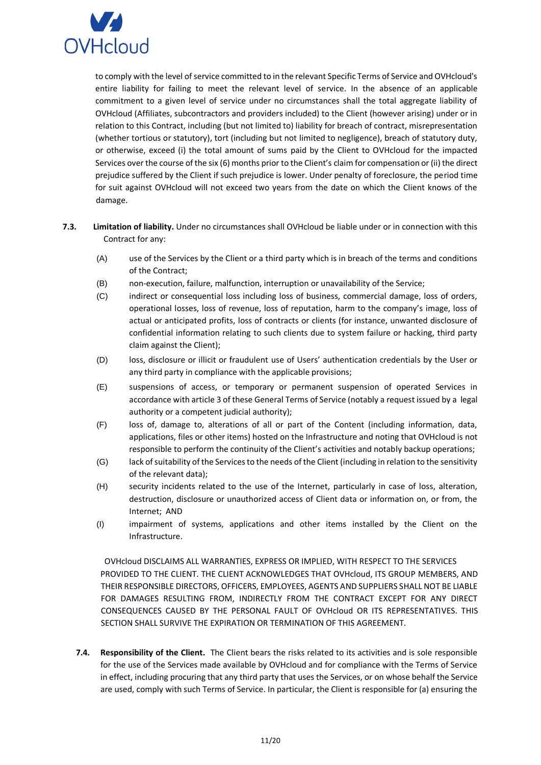

to comply with the level of service committed to in the relevant Specific Terms of Service and OVHcloud's entire liability for failing to meet the relevant level of service. In the absence of an applicable commitment to a given level of service under no circumstances shall the total aggregate liability of OVHcloud (Affiliates, subcontractors and providers included) to the Client (however arising) under or in relation to this Contract, including (but not limited to) liability for breach of contract, misrepresentation (whether tortious or statutory), tort (including but not limited to negligence), breach of statutory duty, or otherwise, exceed (i) the total amount of sums paid by the Client to OVHcloud for the impacted Services over the course of the six (6) months prior to the Client's claim for compensation or (ii) the direct prejudice suffered by the Client if such prejudice is lower. Under penalty of foreclosure, the period time for suit against OVHcloud will not exceed two years from the date on which the Client knows of the damage.

- **7.3. Limitation of liability.** Under no circumstances shall OVHcloud be liable under or in connection with this Contract for any:
	- (A) use of the Services by the Client or a third party which is in breach of the terms and conditions of the Contract;
	- (B) non-execution, failure, malfunction, interruption or unavailability of the Service;
	- (C) indirect or consequential loss including loss of business, commercial damage, loss of orders, operational losses, loss of revenue, loss of reputation, harm to the company's image, loss of actual or anticipated profits, loss of contracts or clients (for instance, unwanted disclosure of confidential information relating to such clients due to system failure or hacking, third party claim against the Client);
	- (D) loss, disclosure or illicit or fraudulent use of Users' authentication credentials by the User or any third party in compliance with the applicable provisions;
	- (E) suspensions of access, or temporary or permanent suspension of operated Services in accordance with article 3 of these General Terms of Service (notably a request issued by a legal authority or a competent judicial authority);
	- (F) loss of, damage to, alterations of all or part of the Content (including information, data, applications, files or other items) hosted on the Infrastructure and noting that OVHcloud is not responsible to perform the continuity of the Client's activities and notably backup operations;
	- (G) lack of suitability of the Services to the needs of the Client (including in relation to the sensitivity of the relevant data);
	- (H) security incidents related to the use of the Internet, particularly in case of loss, alteration, destruction, disclosure or unauthorized access of Client data or information on, or from, the Internet; AND
	- (I) impairment of systems, applications and other items installed by the Client on the Infrastructure.

OVHcloud DISCLAIMS ALL WARRANTIES, EXPRESS OR IMPLIED, WITH RESPECT TO THE SERVICES PROVIDED TO THE CLIENT. THE CLIENT ACKNOWLEDGES THAT OVHcloud, ITS GROUP MEMBERS, AND THEIR RESPONSIBLE DIRECTORS, OFFICERS, EMPLOYEES, AGENTS AND SUPPLIERS SHALL NOT BE LIABLE FOR DAMAGES RESULTING FROM, INDIRECTLY FROM THE CONTRACT EXCEPT FOR ANY DIRECT CONSEQUENCES CAUSED BY THE PERSONAL FAULT OF OVHcloud OR ITS REPRESENTATIVES. THIS SECTION SHALL SURVIVE THE EXPIRATION OR TERMINATION OF THIS AGREEMENT.

**7.4. Responsibility of the Client.** The Client bears the risks related to its activities and is sole responsible for the use of the Services made available by OVHcloud and for compliance with the Terms of Service in effect, including procuring that any third party that uses the Services, or on whose behalf the Service are used, comply with such Terms of Service. In particular, the Client is responsible for (a) ensuring the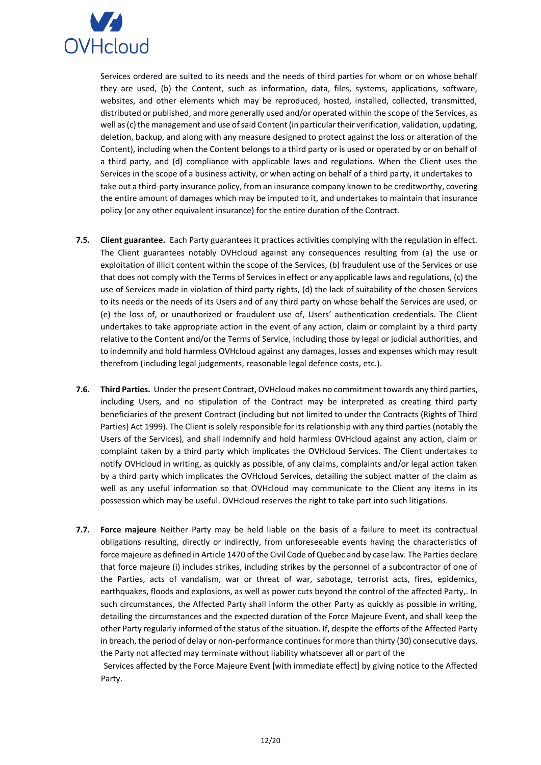

Services ordered are suited to its needs and the needs of third parties for whom or on whose behalf they are used, (b) the Content, such as information, data, files, systems, applications, software, websites, and other elements which may be reproduced, hosted, installed, collected, transmitted, distributed or published, and more generally used and/or operated within the scope of the Services, as well as (c) the management and use of said Content (in particular their verification, validation, updating, deletion, backup, and along with any measure designed to protect against the loss or alteration of the Content), including when the Content belongs to a third party or is used or operated by or on behalf of a third party, and (d) compliance with applicable laws and regulations. When the Client uses the Services in the scope of a business activity, or when acting on behalf of a third party, it undertakes to take out a third-party insurance policy, from an insurance company known to be creditworthy, covering the entire amount of damages which may be imputed to it, and undertakes to maintain that insurance policy (or any other equivalent insurance) for the entire duration of the Contract.

- **7.5. Client guarantee.** Each Party guarantees it practices activities complying with the regulation in effect. The Client guarantees notably OVHcloud against any consequences resulting from (a) the use or exploitation of illicit content within the scope of the Services, (b) fraudulent use of the Services or use that does not comply with the Terms of Services in effect or any applicable laws and regulations, (c) the use of Services made in violation of third party rights, (d) the lack of suitability of the chosen Services to its needs or the needs of its Users and of any third party on whose behalf the Services are used, or (e) the loss of, or unauthorized or fraudulent use of, Users' authentication credentials. The Client undertakes to take appropriate action in the event of any action, claim or complaint by a third party relative to the Content and/or the Terms of Service, including those by legal or judicial authorities, and to indemnify and hold harmless OVHcloud against any damages, losses and expenses which may result therefrom (including legal judgements, reasonable legal defence costs, etc.).
- **7.6. Third Parties.** Under the present Contract, OVHcloud makes no commitment towards any third parties, including Users, and no stipulation of the Contract may be interpreted as creating third party beneficiaries of the present Contract (including but not limited to under the Contracts (Rights of Third Parties) Act 1999). The Client is solely responsible for its relationship with any third parties (notably the Users of the Services), and shall indemnify and hold harmless OVHcloud against any action, claim or complaint taken by a third party which implicates the OVHcloud Services. The Client undertakes to notify OVHcloud in writing, as quickly as possible, of any claims, complaints and/or legal action taken by a third party which implicates the OVHcloud Services, detailing the subject matter of the claim as well as any useful information so that OVHcloud may communicate to the Client any items in its possession which may be useful. OVHcloud reserves the right to take part into such litigations.
- **7.7. Force majeure** Neither Party may be held liable on the basis of a failure to meet its contractual obligations resulting, directly or indirectly, from unforeseeable events having the characteristics of force majeure as defined in Article 1470 of the Civil Code of Quebec and by case law. The Parties declare that force majeure (i) includes strikes, including strikes by the personnel of a subcontractor of one of the Parties, acts of vandalism, war or threat of war, sabotage, terrorist acts, fires, epidemics, earthquakes, floods and explosions, as well as power cuts beyond the control of the affected Party,. In such circumstances, the Affected Party shall inform the other Party as quickly as possible in writing, detailing the circumstances and the expected duration of the Force Majeure Event, and shall keep the other Party regularly informed of the status of the situation. If, despite the efforts of the Affected Party in breach, the period of delay or non-performance continues for more than thirty (30) consecutive days, the Party not affected may terminate without liability whatsoever all or part of the

Services affected by the Force Majeure Event [with immediate effect] by giving notice to the Affected Party.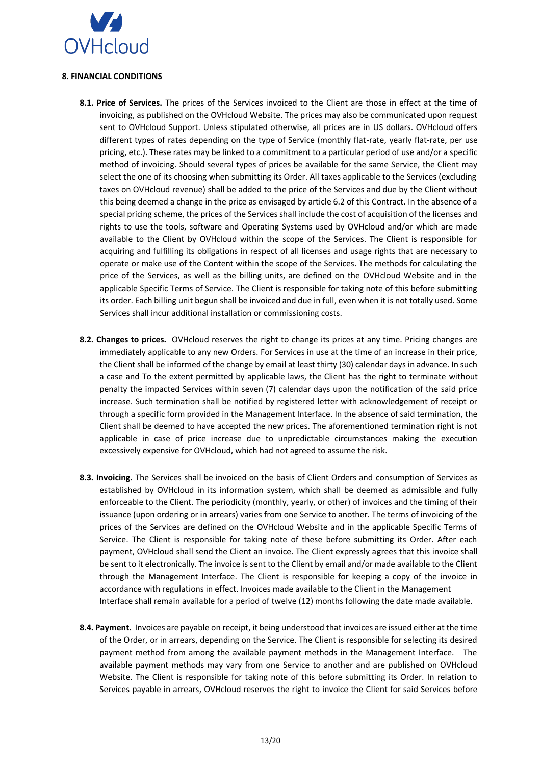

# **8. FINANCIAL CONDITIONS**

- **8.1. Price of Services.** The prices of the Services invoiced to the Client are those in effect at the time of invoicing, as published on the OVHcloud Website. The prices may also be communicated upon request sent to OVHcloud Support. Unless stipulated otherwise, all prices are in US dollars. OVHcloud offers different types of rates depending on the type of Service (monthly flat-rate, yearly flat-rate, per use pricing, etc.). These rates may be linked to a commitment to a particular period of use and/or a specific method of invoicing. Should several types of prices be available for the same Service, the Client may select the one of its choosing when submitting its Order. All taxes applicable to the Services (excluding taxes on OVHcloud revenue) shall be added to the price of the Services and due by the Client without this being deemed a change in the price as envisaged by article 6.2 of this Contract. In the absence of a special pricing scheme, the prices of the Services shall include the cost of acquisition of the licenses and rights to use the tools, software and Operating Systems used by OVHcloud and/or which are made available to the Client by OVHcloud within the scope of the Services. The Client is responsible for acquiring and fulfilling its obligations in respect of all licenses and usage rights that are necessary to operate or make use of the Content within the scope of the Services. The methods for calculating the price of the Services, as well as the billing units, are defined on the OVHcloud Website and in the applicable Specific Terms of Service. The Client is responsible for taking note of this before submitting its order. Each billing unit begun shall be invoiced and due in full, even when it is not totally used. Some Services shall incur additional installation or commissioning costs.
- **8.2. Changes to prices.** OVHcloud reserves the right to change its prices at any time. Pricing changes are immediately applicable to any new Orders. For Services in use at the time of an increase in their price, the Client shall be informed of the change by email at least thirty (30) calendar days in advance. In such a case and To the extent permitted by applicable laws, the Client has the right to terminate without penalty the impacted Services within seven (7) calendar days upon the notification of the said price increase. Such termination shall be notified by registered letter with acknowledgement of receipt or through a specific form provided in the Management Interface. In the absence of said termination, the Client shall be deemed to have accepted the new prices. The aforementioned termination right is not applicable in case of price increase due to unpredictable circumstances making the execution excessively expensive for OVHcloud, which had not agreed to assume the risk.
- **8.3. Invoicing.** The Services shall be invoiced on the basis of Client Orders and consumption of Services as established by OVHcloud in its information system, which shall be deemed as admissible and fully enforceable to the Client. The periodicity (monthly, yearly, or other) of invoices and the timing of their issuance (upon ordering or in arrears) varies from one Service to another. The terms of invoicing of the prices of the Services are defined on the OVHcloud Website and in the applicable Specific Terms of Service. The Client is responsible for taking note of these before submitting its Order. After each payment, OVHcloud shall send the Client an invoice. The Client expressly agrees that this invoice shall be sent to it electronically. The invoice is sent to the Client by email and/or made available to the Client through the Management Interface. The Client is responsible for keeping a copy of the invoice in accordance with regulations in effect. Invoices made available to the Client in the Management Interface shall remain available for a period of twelve (12) months following the date made available.
- **8.4. Payment.** Invoices are payable on receipt, it being understood that invoices are issued either at the time of the Order, or in arrears, depending on the Service. The Client is responsible for selecting its desired payment method from among the available payment methods in the Management Interface. The available payment methods may vary from one Service to another and are published on OVHcloud Website. The Client is responsible for taking note of this before submitting its Order. In relation to Services payable in arrears, OVHcloud reserves the right to invoice the Client for said Services before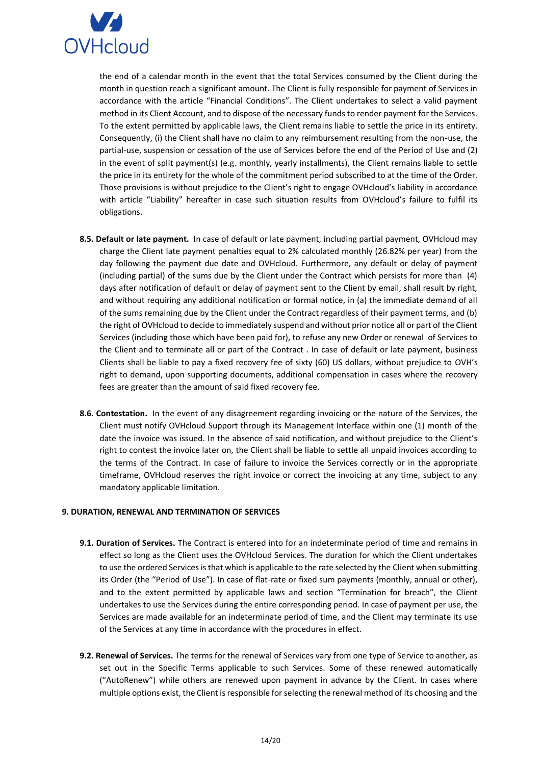

the end of a calendar month in the event that the total Services consumed by the Client during the month in question reach a significant amount. The Client is fully responsible for payment of Services in accordance with the article "Financial Conditions". The Client undertakes to select a valid payment method in its Client Account, and to dispose of the necessary funds to render payment for the Services. To the extent permitted by applicable laws, the Client remains liable to settle the price in its entirety. Consequently, (i) the Client shall have no claim to any reimbursement resulting from the non-use, the partial-use, suspension or cessation of the use of Services before the end of the Period of Use and (2) in the event of split payment(s) (e.g. monthly, yearly installments), the Client remains liable to settle the price in its entirety for the whole of the commitment period subscribed to at the time of the Order. Those provisions is without prejudice to the Client's right to engage OVHcloud's liability in accordance with article "Liability" hereafter in case such situation results from OVHcloud's failure to fulfil its obligations.

- **8.5. Default or late payment.** In case of default or late payment, including partial payment, OVHcloud may charge the Client late payment penalties equal to 2% calculated monthly (26.82% per year) from the day following the payment due date and OVHcloud. Furthermore, any default or delay of payment (including partial) of the sums due by the Client under the Contract which persists for more than (4) days after notification of default or delay of payment sent to the Client by email, shall result by right, and without requiring any additional notification or formal notice, in (a) the immediate demand of all of the sums remaining due by the Client under the Contract regardless of their payment terms, and (b) the right of OVHcloud to decide to immediately suspend and without prior notice all or part of the Client Services (including those which have been paid for), to refuse any new Order or renewal of Services to the Client and to terminate all or part of the Contract . In case of default or late payment, business Clients shall be liable to pay a fixed recovery fee of sixty (60) US dollars, without prejudice to OVH's right to demand, upon supporting documents, additional compensation in cases where the recovery fees are greater than the amount of said fixed recovery fee.
- **8.6. Contestation.** In the event of any disagreement regarding invoicing or the nature of the Services, the Client must notify OVHcloud Support through its Management Interface within one (1) month of the date the invoice was issued. In the absence of said notification, and without prejudice to the Client's right to contest the invoice later on, the Client shall be liable to settle all unpaid invoices according to the terms of the Contract. In case of failure to invoice the Services correctly or in the appropriate timeframe, OVHcloud reserves the right invoice or correct the invoicing at any time, subject to any mandatory applicable limitation.

### <span id="page-13-0"></span>**9. DURATION, RENEWAL AND TERMINATION OF SERVICES**

- **9.1. Duration of Services.** The Contract is entered into for an indeterminate period of time and remains in effect so long as the Client uses the OVHcloud Services. The duration for which the Client undertakes to use the ordered Services is that which is applicable to the rate selected by the Client when submitting its Order (the "Period of Use"). In case of flat-rate or fixed sum payments (monthly, annual or other), and to the extent permitted by applicable laws and section "Termination for breach", the Client undertakes to use the Services during the entire corresponding period. In case of payment per use, the Services are made available for an indeterminate period of time, and the Client may terminate its use of the Services at any time in accordance with the procedures in effect.
- **9.2. Renewal of Services.** The terms for the renewal of Services vary from one type of Service to another, as set out in the Specific Terms applicable to such Services. Some of these renewed automatically ("AutoRenew") while others are renewed upon payment in advance by the Client. In cases where multiple options exist, the Client is responsible for selecting the renewal method of its choosing and the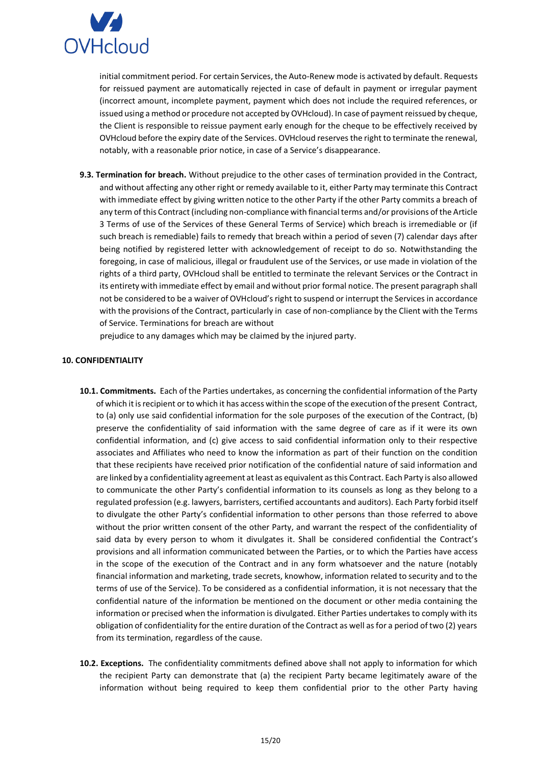

initial commitment period. For certain Services, the Auto-Renew mode is activated by default. Requests for reissued payment are automatically rejected in case of default in payment or irregular payment (incorrect amount, incomplete payment, payment which does not include the required references, or issued using a method or procedure not accepted by OVHcloud). In case of payment reissued by cheque, the Client is responsible to reissue payment early enough for the cheque to be effectively received by OVHcloud before the expiry date of the Services. OVHcloud reserves the right to terminate the renewal, notably, with a reasonable prior notice, in case of a Service's disappearance.

**9.3. Termination for breach.** Without prejudice to the other cases of termination provided in the Contract, and without affecting any other right or remedy available to it, either Party may terminate this Contract with immediate effect by giving written notice to the other Party if the other Party commits a breach of any term of this Contract (including non-compliance with financial terms and/or provisions of the Article 3 Terms of use of the Services of these General Terms of Service) which breach is irremediable or (if such breach is remediable) fails to remedy that breach within a period of seven (7) calendar days after being notified by registered letter with acknowledgement of receipt to do so. Notwithstanding the foregoing, in case of malicious, illegal or fraudulent use of the Services, or use made in violation of the rights of a third party, OVHcloud shall be entitled to terminate the relevant Services or the Contract in its entirety with immediate effect by email and without prior formal notice. The present paragraph shall not be considered to be a waiver of OVHcloud's right to suspend or interrupt the Services in accordance with the provisions of the Contract, particularly in case of non-compliance by the Client with the Terms of Service. Terminations for breach are without

prejudice to any damages which may be claimed by the injured party.

### <span id="page-14-0"></span>**10. CONFIDENTIALITY**

- **10.1. Commitments.** Each of the Parties undertakes, as concerning the confidential information of the Party of which it is recipient or to which it has access within the scope of the execution of the present Contract, to (a) only use said confidential information for the sole purposes of the execution of the Contract, (b) preserve the confidentiality of said information with the same degree of care as if it were its own confidential information, and (c) give access to said confidential information only to their respective associates and Affiliates who need to know the information as part of their function on the condition that these recipients have received prior notification of the confidential nature of said information and are linked by a confidentiality agreement at least as equivalent as this Contract. Each Party is also allowed to communicate the other Party's confidential information to its counsels as long as they belong to a regulated profession (e.g. lawyers, barristers, certified accountants and auditors). Each Party forbid itself to divulgate the other Party's confidential information to other persons than those referred to above without the prior written consent of the other Party, and warrant the respect of the confidentiality of said data by every person to whom it divulgates it. Shall be considered confidential the Contract's provisions and all information communicated between the Parties, or to which the Parties have access in the scope of the execution of the Contract and in any form whatsoever and the nature (notably financial information and marketing, trade secrets, knowhow, information related to security and to the terms of use of the Service). To be considered as a confidential information, it is not necessary that the confidential nature of the information be mentioned on the document or other media containing the information or precised when the information is divulgated. Either Parties undertakes to comply with its obligation of confidentiality for the entire duration of the Contract as well as for a period of two (2) years from its termination, regardless of the cause.
- **10.2. Exceptions.** The confidentiality commitments defined above shall not apply to information for which the recipient Party can demonstrate that (a) the recipient Party became legitimately aware of the information without being required to keep them confidential prior to the other Party having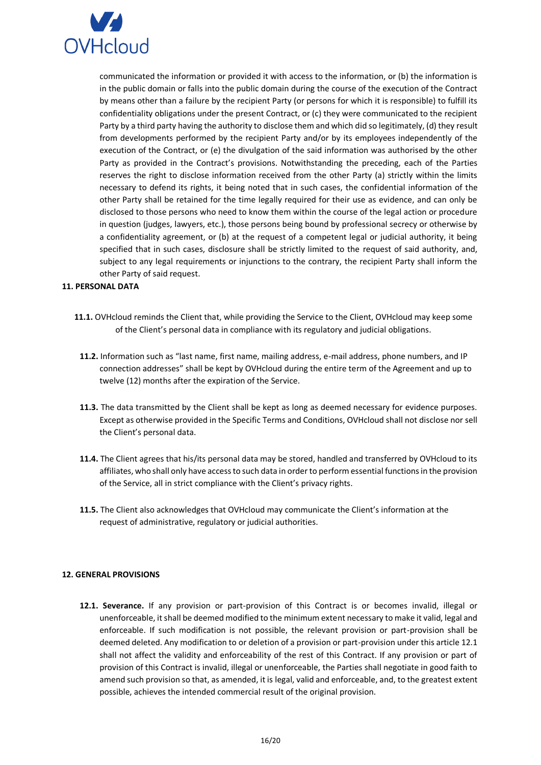

communicated the information or provided it with access to the information, or (b) the information is in the public domain or falls into the public domain during the course of the execution of the Contract by means other than a failure by the recipient Party (or persons for which it is responsible) to fulfill its confidentiality obligations under the present Contract, or (c) they were communicated to the recipient Party by a third party having the authority to disclose them and which did so legitimately, (d) they result from developments performed by the recipient Party and/or by its employees independently of the execution of the Contract, or (e) the divulgation of the said information was authorised by the other Party as provided in the Contract's provisions. Notwithstanding the preceding, each of the Parties reserves the right to disclose information received from the other Party (a) strictly within the limits necessary to defend its rights, it being noted that in such cases, the confidential information of the other Party shall be retained for the time legally required for their use as evidence, and can only be disclosed to those persons who need to know them within the course of the legal action or procedure in question (judges, lawyers, etc.), those persons being bound by professional secrecy or otherwise by a confidentiality agreement, or (b) at the request of a competent legal or judicial authority, it being specified that in such cases, disclosure shall be strictly limited to the request of said authority, and, subject to any legal requirements or injunctions to the contrary, the recipient Party shall inform the other Party of said request.

# <span id="page-15-0"></span>**11. PERSONAL DATA**

- **11.1.** OVHcloud reminds the Client that, while providing the Service to the Client, OVHcloud may keep some of the Client's personal data in compliance with its regulatory and judicial obligations.
	- **11.2.** Information such as "last name, first name, mailing address, e-mail address, phone numbers, and IP connection addresses" shall be kept by OVHcloud during the entire term of the Agreement and up to twelve (12) months after the expiration of the Service.
	- **11.3.** The data transmitted by the Client shall be kept as long as deemed necessary for evidence purposes. Except as otherwise provided in the Specific Terms and Conditions, OVHcloud shall not disclose nor sell the Client's personal data.
	- **11.4.** The Client agrees that his/its personal data may be stored, handled and transferred by OVHcloud to its affiliates, who shall only have access to such data in order to perform essential functions in the provision of the Service, all in strict compliance with the Client's privacy rights.
	- **11.5.** The Client also acknowledges that OVHcloud may communicate the Client's information at the request of administrative, regulatory or judicial authorities.

### <span id="page-15-1"></span>**12. GENERAL PROVISIONS**

**12.1. Severance.** If any provision or part-provision of this Contract is or becomes invalid, illegal or unenforceable, it shall be deemed modified to the minimum extent necessary to make it valid, legal and enforceable. If such modification is not possible, the relevant provision or part-provision shall be deemed deleted. Any modification to or deletion of a provision or part-provision under this article 12.1 shall not affect the validity and enforceability of the rest of this Contract. If any provision or part of provision of this Contract is invalid, illegal or unenforceable, the Parties shall negotiate in good faith to amend such provision so that, as amended, it is legal, valid and enforceable, and, to the greatest extent possible, achieves the intended commercial result of the original provision.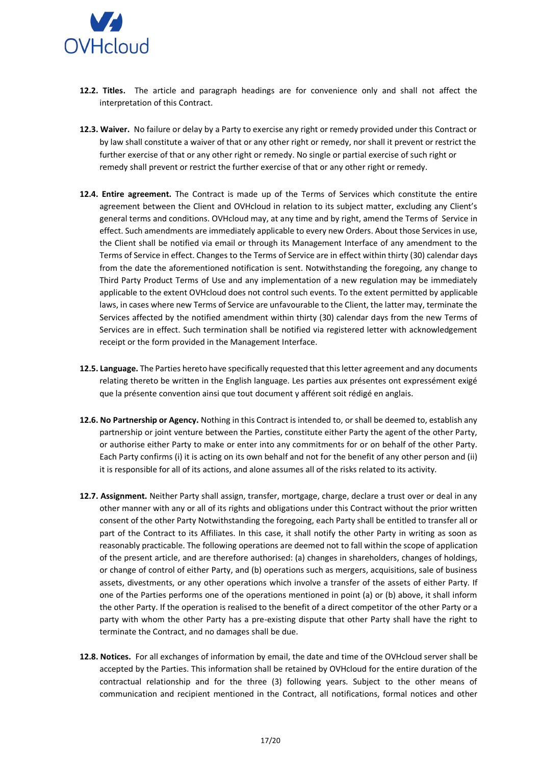

- **12.2. Titles.** The article and paragraph headings are for convenience only and shall not affect the interpretation of this Contract.
- **12.3. Waiver.** No failure or delay by a Party to exercise any right or remedy provided under this Contract or by law shall constitute a waiver of that or any other right or remedy, nor shall it prevent or restrict the further exercise of that or any other right or remedy. No single or partial exercise of such right or remedy shall prevent or restrict the further exercise of that or any other right or remedy.
- **12.4. Entire agreement.** The Contract is made up of the Terms of Services which constitute the entire agreement between the Client and OVHcloud in relation to its subject matter, excluding any Client's general terms and conditions. OVHcloud may, at any time and by right, amend the Terms of Service in effect. Such amendments are immediately applicable to every new Orders. About those Services in use, the Client shall be notified via email or through its Management Interface of any amendment to the Terms of Service in effect. Changes to the Terms of Service are in effect within thirty (30) calendar days from the date the aforementioned notification is sent. Notwithstanding the foregoing, any change to Third Party Product Terms of Use and any implementation of a new regulation may be immediately applicable to the extent OVHcloud does not control such events. To the extent permitted by applicable laws, in cases where new Terms of Service are unfavourable to the Client, the latter may, terminate the Services affected by the notified amendment within thirty (30) calendar days from the new Terms of Services are in effect. Such termination shall be notified via registered letter with acknowledgement receipt or the form provided in the Management Interface.
- **12.5. Language.** The Parties hereto have specifically requested that this letter agreement and any documents relating thereto be written in the English language. Les parties aux présentes ont expressément exigé que la présente convention ainsi que tout document y afférent soit rédigé en anglais.
- **12.6. No Partnership or Agency.** Nothing in this Contract is intended to, or shall be deemed to, establish any partnership or joint venture between the Parties, constitute either Party the agent of the other Party, or authorise either Party to make or enter into any commitments for or on behalf of the other Party. Each Party confirms (i) it is acting on its own behalf and not for the benefit of any other person and (ii) it is responsible for all of its actions, and alone assumes all of the risks related to its activity.
- **12.7. Assignment.** Neither Party shall assign, transfer, mortgage, charge, declare a trust over or deal in any other manner with any or all of its rights and obligations under this Contract without the prior written consent of the other Party Notwithstanding the foregoing, each Party shall be entitled to transfer all or part of the Contract to its Affiliates. In this case, it shall notify the other Party in writing as soon as reasonably practicable. The following operations are deemed not to fall within the scope of application of the present article, and are therefore authorised: (a) changes in shareholders, changes of holdings, or change of control of either Party, and (b) operations such as mergers, acquisitions, sale of business assets, divestments, or any other operations which involve a transfer of the assets of either Party. If one of the Parties performs one of the operations mentioned in point (a) or (b) above, it shall inform the other Party. If the operation is realised to the benefit of a direct competitor of the other Party or a party with whom the other Party has a pre-existing dispute that other Party shall have the right to terminate the Contract, and no damages shall be due.
- **12.8. Notices.** For all exchanges of information by email, the date and time of the OVHcloud server shall be accepted by the Parties. This information shall be retained by OVHcloud for the entire duration of the contractual relationship and for the three (3) following years. Subject to the other means of communication and recipient mentioned in the Contract, all notifications, formal notices and other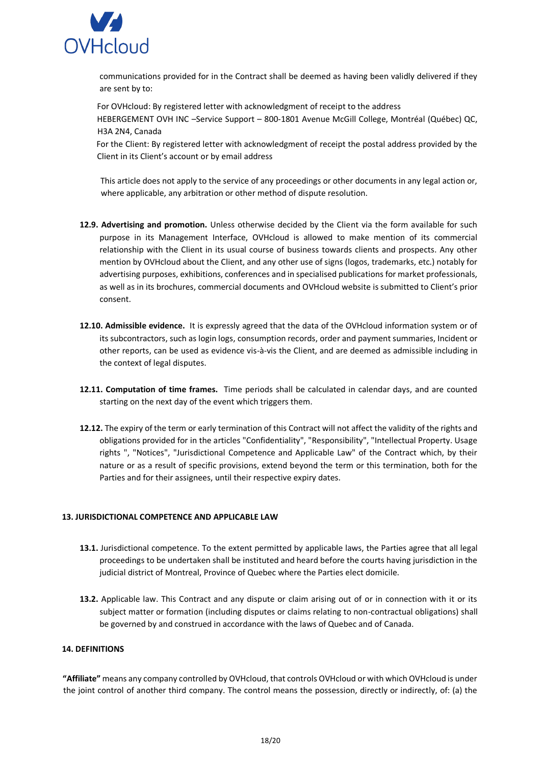

communications provided for in the Contract shall be deemed as having been validly delivered if they are sent by to:

For OVHcloud: By registered letter with acknowledgment of receipt to the address HEBERGEMENT OVH INC –Service Support – 800-1801 Avenue McGill College, Montréal (Québec) QC, H3A 2N4, Canada

For the Client: By registered letter with acknowledgment of receipt the postal address provided by the Client in its Client's account or by email address

This article does not apply to the service of any proceedings or other documents in any legal action or, where applicable, any arbitration or other method of dispute resolution.

- **12.9. Advertising and promotion.** Unless otherwise decided by the Client via the form available for such purpose in its Management Interface, OVHcloud is allowed to make mention of its commercial relationship with the Client in its usual course of business towards clients and prospects. Any other mention by OVHcloud about the Client, and any other use of signs (logos, trademarks, etc.) notably for advertising purposes, exhibitions, conferences and in specialised publications for market professionals, as well as in its brochures, commercial documents and OVHcloud website is submitted to Client's prior consent.
- **12.10. Admissible evidence.** It is expressly agreed that the data of the OVHcloud information system or of its subcontractors, such as login logs, consumption records, order and payment summaries, Incident or other reports, can be used as evidence vis-à-vis the Client, and are deemed as admissible including in the context of legal disputes.
- **12.11. Computation of time frames.** Time periods shall be calculated in calendar days, and are counted starting on the next day of the event which triggers them.
- **12.12.** The expiry of the term or early termination of this Contract will not affect the validity of the rights and obligations provided for in the articles "Confidentiality", "Responsibility", "Intellectual Property. Usage rights ", "Notices", "Jurisdictional Competence and Applicable Law" of the Contract which, by their nature or as a result of specific provisions, extend beyond the term or this termination, both for the Parties and for their assignees, until their respective expiry dates.

### <span id="page-17-0"></span>**13. JURISDICTIONAL COMPETENCE AND APPLICABLE LAW**

- **13.1.** Jurisdictional competence. To the extent permitted by applicable laws, the Parties agree that all legal proceedings to be undertaken shall be instituted and heard before the courts having jurisdiction in the judicial district of Montreal, Province of Quebec where the Parties elect domicile.
- **13.2.** Applicable law. This Contract and any dispute or claim arising out of or in connection with it or its subject matter or formation (including disputes or claims relating to non-contractual obligations) shall be governed by and construed in accordance with the laws of Quebec and of Canada.

### <span id="page-17-1"></span>**14. DEFINITIONS**

**"Affiliate"** means any company controlled by OVHcloud, that controls OVHcloud or with which OVHcloud is under the joint control of another third company. The control means the possession, directly or indirectly, of: (a) the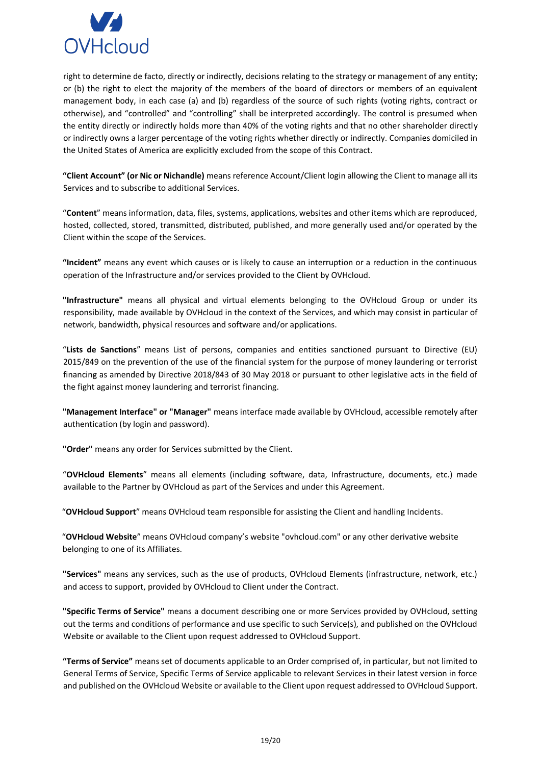

right to determine de facto, directly or indirectly, decisions relating to the strategy or management of any entity; or (b) the right to elect the majority of the members of the board of directors or members of an equivalent management body, in each case (a) and (b) regardless of the source of such rights (voting rights, contract or otherwise), and "controlled" and "controlling" shall be interpreted accordingly. The control is presumed when the entity directly or indirectly holds more than 40% of the voting rights and that no other shareholder directly or indirectly owns a larger percentage of the voting rights whether directly or indirectly. Companies domiciled in the United States of America are explicitly excluded from the scope of this Contract.

**"Client Account" (or Nic or Nichandle)** means reference Account/Client login allowing the Client to manage all its Services and to subscribe to additional Services.

"**Content**" means information, data, files, systems, applications, websites and other items which are reproduced, hosted, collected, stored, transmitted, distributed, published, and more generally used and/or operated by the Client within the scope of the Services.

**"Incident"** means any event which causes or is likely to cause an interruption or a reduction in the continuous operation of the Infrastructure and/or services provided to the Client by OVHcloud.

**"Infrastructure"** means all physical and virtual elements belonging to the OVHcloud Group or under its responsibility, made available by OVHcloud in the context of the Services, and which may consist in particular of network, bandwidth, physical resources and software and/or applications.

"**Lists de Sanctions**" means List of persons, companies and entities sanctioned pursuant to Directive (EU) 2015/849 on the prevention of the use of the financial system for the purpose of money laundering or terrorist financing as amended by Directive 2018/843 of 30 May 2018 or pursuant to other legislative acts in the field of the fight against money laundering and terrorist financing.

**"Management Interface" or "Manager"** means interface made available by OVHcloud, accessible remotely after authentication (by login and password).

**"Order"** means any order for Services submitted by the Client.

"**OVHcloud Elements**" means all elements (including software, data, Infrastructure, documents, etc.) made available to the Partner by OVHcloud as part of the Services and under this Agreement.

"**OVHcloud Support**" means OVHcloud team responsible for assisting the Client and handling Incidents.

"**OVHcloud Website**" means OVHcloud company's website "ovhcloud.com" or any other derivative website belonging to one of its Affiliates.

**"Services"** means any services, such as the use of products, OVHcloud Elements (infrastructure, network, etc.) and access to support, provided by OVHcloud to Client under the Contract.

**"Specific Terms of Service"** means a document describing one or more Services provided by OVHcloud, setting out the terms and conditions of performance and use specific to such Service(s), and published on the OVHcloud Website or available to the Client upon request addressed to OVHcloud Support.

**"Terms of Service"** means set of documents applicable to an Order comprised of, in particular, but not limited to General Terms of Service, Specific Terms of Service applicable to relevant Services in their latest version in force and published on the OVHcloud Website or available to the Client upon request addressed to OVHcloud Support.